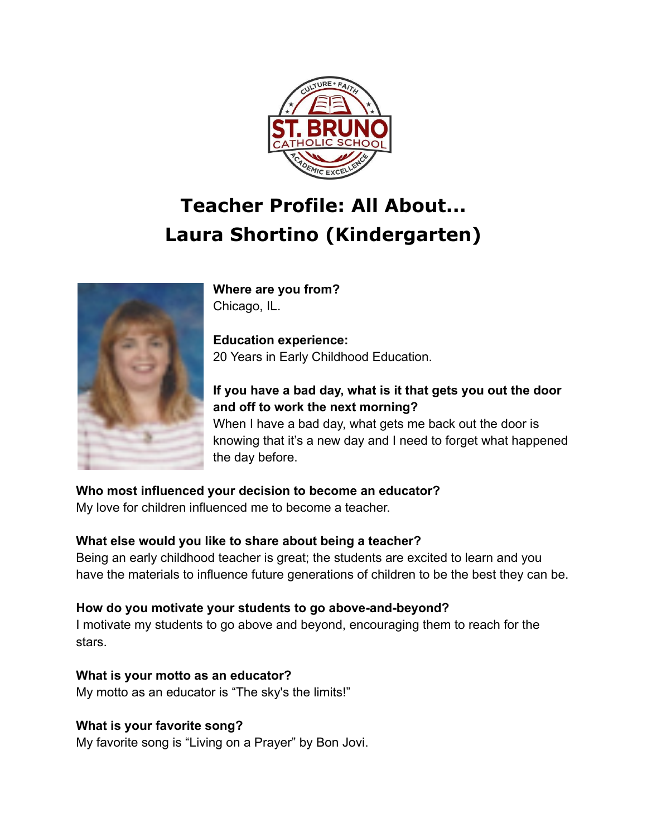

# **Teacher Profile: All About... Laura Shortino (Kindergarten)**



**Where are you from?** Chicago, IL.

**Education experience:** 20 Years in Early Childhood Education.

### **If you have a bad day, what is it that gets you out the door and off to work the next morning?**

When I have a bad day, what gets me back out the door is knowing that it's a new day and I need to forget what happened the day before.

**Who most influenced your decision to become an educator?**

My love for children influenced me to become a teacher.

#### **What else would you like to share about being a teacher?**

Being an early childhood teacher is great; the students are excited to learn and you have the materials to influence future generations of children to be the best they can be.

#### **How do you motivate your students to go above-and-beyond?**

I motivate my students to go above and beyond, encouraging them to reach for the stars.

**What is your motto as an educator?** My motto as an educator is "The sky's the limits!"

## **What is your favorite song?**

My favorite song is "Living on a Prayer" by Bon Jovi.